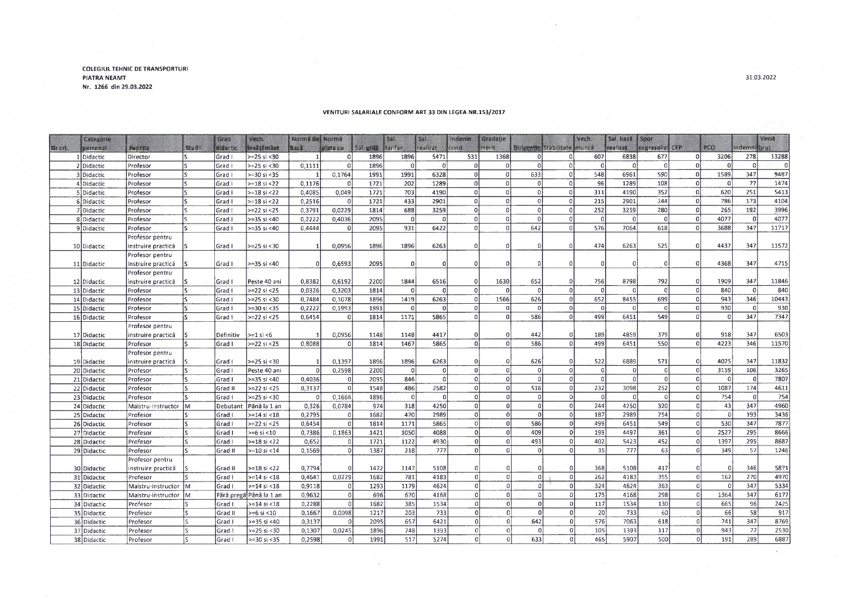## **COLEGIULTEHNIC DETRANSPORTURI PIATRA NEAMT Nr. 1266 din 29.03.2022**

|         | Categorie   |                    |               | Grad      | Vech.                   | Normă de Normă |              |            | Sal.     | Sal.           | Indemn.      | Gradatie       |                                     |                | Vech.             | Sal. bază | Spor            |                |            |                 | Venit |
|---------|-------------|--------------------|---------------|-----------|-------------------------|----------------|--------------|------------|----------|----------------|--------------|----------------|-------------------------------------|----------------|-------------------|-----------|-----------------|----------------|------------|-----------------|-------|
| Nr.crt. | personal    | <b>Function</b>    | <b>Studii</b> | didactic  | in väljämänt            | <b>Ibaza</b>   | plata cu     | Sal. grill | tarifar  | realizat       | cond.        | merit          | <b>Birigentie Stabilitate munca</b> |                |                   | realizat  | suprasolici CFP |                | <b>PCO</b> | Indemnitorut    |       |
|         | Didactic    | Director           |               | Grad I    | $>=25$ si <30           |                | n            | 1896       | 1896     | 5471           | 531          | 1368           |                                     | 01             | 607<br>$\sqrt{ }$ | 6838      | 677             | n              | 3206       | 278<br>$\Omega$ | 13288 |
|         | 2 Didactic  | Profesor           |               | Grad I    | $>=25$ si <30           | 0,1111         |              | 1896       |          | $\Omega$       |              |                |                                     | $\Omega$       |                   |           | $\Omega$        |                |            |                 |       |
|         | 3 Didactic  | Profesor           |               | Grad I    | $>= 30$ si < 35         |                | 0,1764       | 1991       | 1991     | 6328           | οI           | $\Omega$       | 633                                 | οl             | 548               | 6961      | 590             | $\Omega$       | 1589       | 347             | 9487  |
|         | 4 Didactic  | Profesor           |               | Grad I    | $>=18$ si <22           | 0.1176         |              | 1721       | 202      | 1289           | 0            | $\Omega$       | 01                                  | οI             | 96                | 1289      | 108             |                | $^{\circ}$ | 77              | 1474  |
|         | 5 Didactic  | Profesor           |               | Grad I    | $>=18$ si <22           | 0.4085         | 0.049        | 1721       | 703      | 4190           | Ωl           | $\Omega$       | Ωİ                                  | 0              | 311               | 4190      | 352             |                | 620        | 251             | 5413  |
|         | 6 Didactic  | Profesor           |               | Grad I    | $>=18$ si <22           | 0,2516         |              | 1721       | 433      | 2901           | οl           | $\Omega$       | $\Omega$                            | $\mathbf 0$    | 215               | 2901      | 244             |                | 786        | 173             | 4104  |
|         | 7 Didactic  | Profesor           |               | Grad I    | $>=22$ si <25           | 0.3791         | 0.0229       | 1814       | 688      | 3259           | $\Omega$     | $\Omega$       | οl                                  | 0              | 252               | 3259      | 280             | $\Omega$       | 265        | 192             | 3996  |
|         | 8 Didactic  | Profesor           |               | Grad I    | $>=35$ si <40           | 0,2222         | 0.4036       | 2095       | $\Omega$ |                | nl           | $\Omega$       | $\Omega$                            | 0              | $\Omega$          | Ωİ        | $\vert$         | $\Omega$       | 4077       | $\Omega$        | 4077  |
|         | 9 Didactic  | Profesor           |               | Grad I    | $>=35$ si <40           | 0.4444         | $\Omega$     | 2095       | 931      | 6422           | $\Omega$     | $\Omega$       | 642                                 | 0              | 576               | 7064      | 618             | $\Omega$       | 3688       | 347             | 11717 |
|         |             | Profesor pentru    |               |           |                         |                |              |            |          |                |              |                |                                     |                |                   |           |                 |                |            |                 |       |
|         | 10 Didactic | instruire practică |               | Grad I    | $>=25$ si <30           |                | 0.0956       | 1896       | 1896     | 6263           |              | $\Omega$       |                                     | $\Omega$       | 474               | 6263      | 525             | $\Omega$       | 4437       | 347             | 11572 |
|         |             | Profesor pentru    |               |           |                         |                |              |            |          |                |              |                |                                     |                |                   |           |                 |                |            |                 |       |
|         | 11 Didactic | instruire practică |               | Grad I    | $>=35$ si <40           |                | 0.6593       | 2095       | $\Omega$ |                |              | $\Omega$       |                                     | 0              |                   |           | $\Omega$        | $\Omega$       | 4368       | 347             | 4715  |
|         |             | Profesor pentru    |               |           |                         |                |              |            |          |                |              |                |                                     |                |                   |           |                 |                |            |                 |       |
|         | 12 Didactic | instruire practica |               | Grad I    | Peste 40 ani            | 0,8382         | 0,6192       | 2200       | 1844     | 6516           |              | 1630           | 652                                 | n              | 756               | 8798      | 792             | $\Omega$       | 1909       | 347             | 11846 |
|         | 13 Didactic | Profesor           | I٢            | Grad I    | $>=22$ si <25           | 0,0326         | 0,3203       | 1814       | ΩI       | $\Omega$       | $\Omega$     | $\Omega$       | <sup>0</sup>                        | $\mathbf{0}$   | $\Omega$          | $\Omega$  | $\mathbf{0}$    | -ol            | 840        | $\mathbf{0}$    | 840   |
|         | 14 Didactic | Profesor           |               | Grad I    | $>=25$ si <30           | 0.7484         | 0.1078       | 1896       | 1419     | 6263           |              | 1566           | 626                                 | $\Omega$       | 652               | 8455      | 699             | $\Omega$       | 943        | 346             | 10443 |
|         | 15 Didactic | Profesor           |               | Grad I    | >=30 si <35             | 0,2222         | 0,1993       | 1991       | $\Omega$ |                |              | $\Omega$       | -ol                                 | $\Omega$       | $\sqrt{ }$        |           | $\Omega$        | $\Omega$       | 930        | $\Omega$        | 930   |
|         | 16 Didactic | Profesor           |               | Grad I    | $>=22$ si <25           | 0.6454         | $\Omega$     | 1814       | 1171     | 5865           |              | $\Omega$       | 586                                 | $\Omega$       | 499               | 6451      | 549             |                |            | 347             | 7347  |
|         |             | Profesor pentru    |               |           |                         |                |              |            |          |                |              |                |                                     |                |                   |           |                 |                |            |                 |       |
|         | 17 Didactic | instruire practică |               | Definitiv | $>= 1$ si <6            |                | 0,0956       | 1148       | 1148     | 4417           |              | $\mathbf 0$    | 442                                 | 0              | 189               | 4859      | 379             | $\Omega$       | 918        | 347             | 6503  |
|         | 18 Didactic | Profesor           |               | Grad I    | $>22$ si <25            | 0.8088         |              | 1814       | 1467     | 5865           |              | 0              | 586                                 | $\Omega$       | 499               | 6451      | 550             | $\Omega$       | 4223       | 346             | 11570 |
|         |             | Profesor pentru    |               |           |                         |                |              |            |          |                |              |                |                                     |                |                   |           |                 |                |            |                 |       |
|         | 19 Didactic | instruire practica |               | Grad I    | $>=25$ si <30           |                | 0,1397       | 1896       | 1896     | 6263           |              | $\overline{0}$ | 626                                 | $\Omega$       | 522               | 6889      | 571             | -01            | 4025       | 347             | 11832 |
|         | 20 Didactic | Profesor           |               | Grad I    | Peste 40 ani            |                | 0,2598       | 2200       | -ol      | $\Omega$       | U            | $\overline{0}$ | $\Omega$                            | $\mathbf 0$    | $\Omega$          |           | $\overline{0}$  | $\Omega$       | 3159       | 106             | 3265  |
|         | 21 Didactic | Profesor           |               | Grad I    | $> = 35$ si <40         | 0.4036         |              | 2095       | 846      |                | $\Omega$     | $\mathbf 0$    |                                     | $\Omega$       | $\Omega$          | $\Omega$  | $\mathbf 0$     | $\Omega$       | $\Omega$   | $\Omega$        | 7807  |
|         | 22 Didactic | Profesor           |               | Grad II   | $>=22$ si <25           | 0,3137         |              | 1548       | 486      | 2582           |              | -ol            | 516                                 | $\overline{0}$ | 232               | 3098      | 252             | $\Omega$       | 1087       | 174             | 4611  |
|         | 23 Didactic | Profesor           |               | Grad I    | $>=25$ si <30           | $\Omega$       | 0.1666       | 1896       | - 01     | $\overline{0}$ | $\Omega$     | -ol            |                                     | $\Omega$       | $\vert$ 0         | $\Omega$  | $\overline{0}$  | -o l           | 754        | $\Omega$        | 754   |
|         | 24 Didactic | Maistru-instructor | İМ            | Debutant  | Până la 1 an            | 0,326          | 0,0784       | 974        | 318      | 4250           |              | $\Omega$       |                                     | $\Omega$       | 244               | 4250      | 320             | nl             | 43         | 347             | 4960  |
|         | 25 Didactic | Profesor           |               | Grad I    | >=14 si <18             | 0,2795         |              | 1682       | 470      | 2989           | $\Omega$     | $\mathfrak{o}$ | $\Omega$                            | $\mathbf 0$    | 187               | 2989      | 254             | $\Omega$       | $\Omega$   | 193             | 3436  |
|         | 26 Didactic | Profesor           |               | Grad I    | $>=22$ si <25           | 0.6454         |              | 1814       | 1171     | 5865           |              | οl             | 586                                 | $\mathbf{0}$   | 499               | 6451      | 549             | $\Omega$       | 530        | 347             | 7877  |
|         | 27 Didactic | Profesor           |               | Grad I    | $>= 6$ si <10           | 0,7386         | 0,1863       | 1421       | 1050     | 4088           |              | $\overline{0}$ | 409                                 | $\Omega$       | 199               | 4497      | 361             | $\Omega$       | 2527       | 295             | 8666  |
|         | 28 Didactic | Profesor           |               | Grad I    | $>= 18$ si < 22         | 0,652          |              | 1721       | 1122     | 4930           | $\Omega$     | 0              | 493                                 | 0              | 402               | 5423      | 452             | ol             | 1397       | 295             | 8687  |
|         | 29 Didactic | Profesor           |               | Grad II   | $>=10$ si <14           | 0.1569         | $\Omega$     | 1387       | 218      | 777            | $\mathbf{0}$ | 0              | $\Omega$                            | οl             | 35                | 777       | 63              | $\Omega$       | 349        | 57              | 1246  |
|         |             | Profesor pentru    |               |           |                         |                |              |            |          |                |              |                |                                     |                |                   |           |                 |                |            |                 |       |
|         | 30 Didactic | instruire practica | ١s            | Grad II   | >=18 si <22             | 0.7794         | $\Omega$     | 1472       | 1147     | 5108           | $\Omega$     |                |                                     | $\Omega$       | 368               | 5108      | 417             |                | $\Omega$   | 346             | 5871  |
|         | 31 Didactic | Profesor           |               | Grad I    | $> = 14$ si <18         | 0,4641         | 0,0229       | 1682       | 781      | 4183           | 0            | $\Omega$       | -o l                                | <sub>0</sub>   | 262               | 4183      | 355             | $\mathfrak{g}$ | 162        | 270             | 4970  |
|         | 32 Didactic | Maistru-instructor | lм            | Grad I    | $>= 14$ si <18          | 0.9118         | $\Omega$     | 1293       | 1179     | 4624           | $\Omega$     | $\Omega$       | $\Omega$                            | $\overline{0}$ | 324               | 4624      | 363             | $\Omega$       | $^{\circ}$ | 347             | 5334  |
|         | 33 Didactic | Maistru-instructor | lм            |           | Färä pregä Pånä la 1 an | 0,9632         | $\Omega$     | 696        | 670      | 4168           |              | $\Omega$       |                                     | $\Omega$       | 175               | 4168      | 298             | $\Omega$       | 1364       | 347             | 6177  |
|         | 34 Didactic | Profesor           |               | Grad I    | $>= 14$ si <18          | 0.2288         | $\Omega$     | 1682       | 385      | 1534           | U            | $\Omega$       | $\Omega$                            | $\Omega$       | 117               | 1534      | 130             | ⋂              | 665        | 96              | 2425  |
|         | 35 Didactic | Profesor           |               | Grad II   | $>= 6$ si <10           | 0,1667         | 0,0098       | 1217       | 203      | 733            | n            | $\circ$        | $\Omega$                            | 0              | 20                | 733       | 60              | $\Omega$       | 66         | 58              | 917   |
|         | 36 Didactic | Profesor           |               | Grad I    | $>=35$ si <40           | 0,3137         | $\Omega$     | 2095       | 657      | 6421           | n            | $\Omega$       | 642                                 | $\Omega$       | 576               | 7063      | 618             | $\Omega$       | 741        | 347             | 8769  |
|         | 37 Didactic | Profesor           | ١s            | Grad 1    | $>=25$ si <30           | 0.1307         | 0.0245       | 1896       | 248      | 1393           |              | $\Omega$       | 0                                   | $\Omega$       | 105               | 1393      | 117             | $\Omega$       | 943        | 77              | 2530  |
|         | 38 Didactic | Profesor           | ls            | Grad I    | $>=30$ si <35           | 0,2598         | $\mathbf{0}$ | 1991       | 517      | 5274           | 0            | $\Omega$       | 633                                 | $\Omega$       | 465               | 5907      | 500             | $\Omega$       | 191        | 289             | 6887  |

 $\sim$ 

## **VENITURI SALARIALE CONFORM ART.33 DIN LEGEA NR.153/2017**

31.03.2022

o.